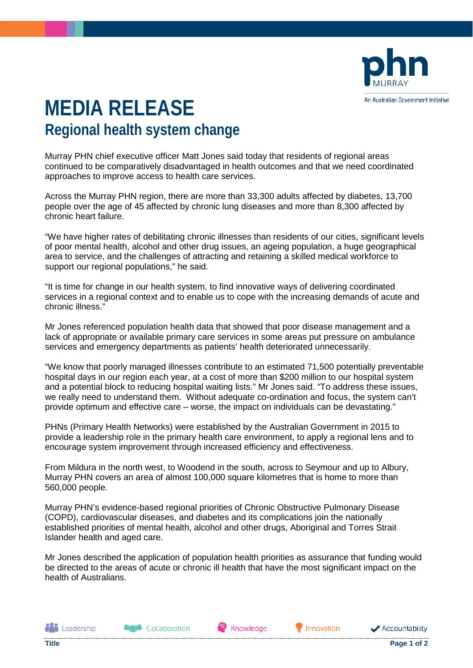

## **MEDIA RELEASE Regional health system change**

Murray PHN chief executive officer Matt Jones said today that residents of regional areas continued to be comparatively disadvantaged in health outcomes and that we need coordinated approaches to improve access to health care services.

Across the Murray PHN region, there are more than 33,300 adults affected by diabetes, 13,700 people over the age of 45 affected by chronic lung diseases and more than 8,300 affected by chronic heart failure.

"We have higher rates of debilitating chronic illnesses than residents of our cities, significant levels of poor mental health, alcohol and other drug issues, an ageing population, a huge geographical area to service, and the challenges of attracting and retaining a skilled medical workforce to support our regional populations," he said.

"It is time for change in our health system, to find innovative ways of delivering coordinated services in a regional context and to enable us to cope with the increasing demands of acute and chronic illness."

Mr Jones referenced population health data that showed that poor disease management and a lack of appropriate or available primary care services in some areas put pressure on ambulance services and emergency departments as patients' health deteriorated unnecessarily.

"We know that poorly managed illnesses contribute to an estimated 71,500 potentially preventable hospital days in our region each year, at a cost of more than \$200 million to our hospital system and a potential block to reducing hospital waiting lists." Mr Jones said. "To address these issues, we really need to understand them. Without adequate co-ordination and focus, the system can't provide optimum and effective care – worse, the impact on individuals can be devastating."

PHNs (Primary Health Networks) were established by the Australian Government in 2015 to provide a leadership role in the primary health care environment, to apply a regional lens and to encourage system improvement through increased efficiency and effectiveness.

From Mildura in the north west, to Woodend in the south, across to Seymour and up to Albury, Murray PHN covers an area of almost 100,000 square kilometres that is home to more than 560,000 people.

Murray PHN's evidence-based regional priorities of Chronic Obstructive Pulmonary Disease (COPD), cardiovascular diseases, and diabetes and its complications join the nationally established priorities of mental health, alcohol and other drugs, Aboriginal and Torres Strait Islander health and aged care.

Mr Jones described the application of population health priorities as assurance that funding would be directed to the areas of acute or chronic ill health that have the most significant impact on the health of Australians.

**All** Leadership